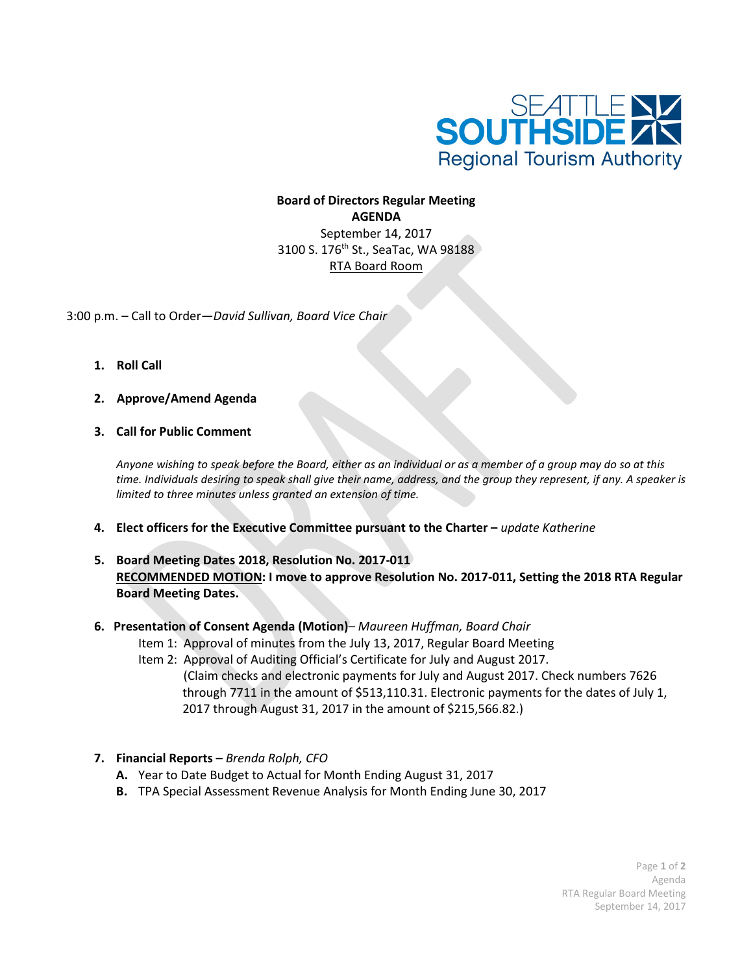

## **Board of Directors Regular Meeting AGENDA** September 14, 2017 3100 S. 176<sup>th</sup> St., SeaTac, WA 98188 RTA Board Room

3:00 p.m. – Call to Order—*David Sullivan, Board Vice Chair*

- **1. Roll Call**
- **2. Approve/Amend Agenda**
- **3. Call for Public Comment**

*Anyone wishing to speak before the Board, either as an individual or as a member of a group may do so at this time. Individuals desiring to speak shall give their name, address, and the group they represent, if any. A speaker is limited to three minutes unless granted an extension of time.*

- **4. Elect officers for the Executive Committee pursuant to the Charter –** *update Katherine*
- **5. Board Meeting Dates 2018, Resolution No. 2017-011 RECOMMENDED MOTION: I move to approve Resolution No. 2017-011, Setting the 2018 RTA Regular Board Meeting Dates.**

## **6. Presentation of Consent Agenda (Motion)***– Maureen Huffman, Board Chair*

- Item 1: Approval of minutes from the July 13, 2017, Regular Board Meeting
- Item 2: Approval of Auditing Official's Certificate for July and August 2017.
	- (Claim checks and electronic payments for July and August 2017. Check numbers 7626 through 7711 in the amount of \$513,110.31. Electronic payments for the dates of July 1, 2017 through August 31, 2017 in the amount of \$215,566.82.)
- **7. Financial Reports –** *Brenda Rolph, CFO*
	- **A.** Year to Date Budget to Actual for Month Ending August 31, 2017
	- **B.** TPA Special Assessment Revenue Analysis for Month Ending June 30, 2017

Page **1** of **2** Agenda RTA Regular Board Meeting September 14, 2017